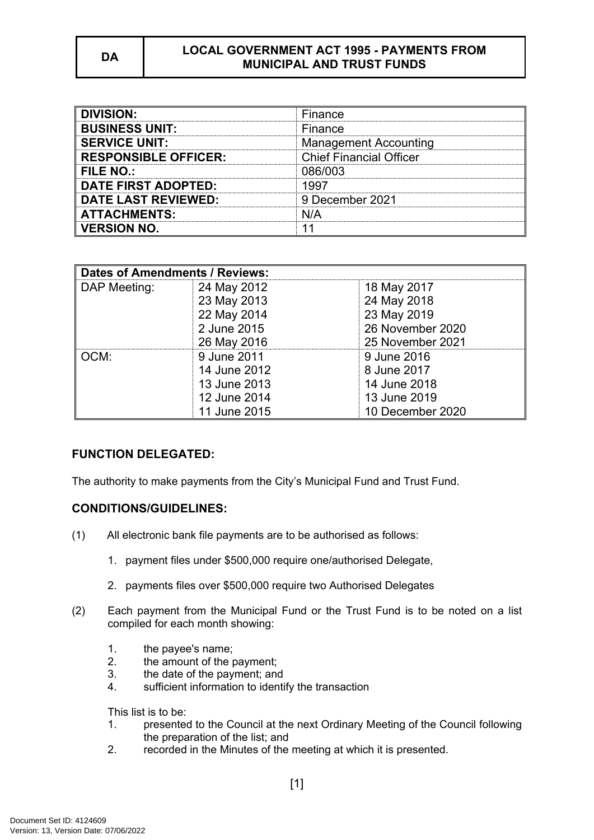## **DA LOCAL GOVERNMENT ACT 1995 - PAYMENTS FROM MUNICIPAL AND TRUST FUNDS**

| <b>DIVISION:</b>            | Finance                        |
|-----------------------------|--------------------------------|
| <b>BUSINESS UNIT:</b>       | Finance                        |
| <b>SERVICE UNIT:</b>        | <b>Management Accounting</b>   |
| <b>RESPONSIBLE OFFICER:</b> | <b>Chief Financial Officer</b> |
| FILE NO.:                   | 086/003                        |
| <b>DATE FIRST ADOPTED:</b>  | luu T                          |
| <b>DATE LAST REVIEWED:</b>  | 9 December 2021                |
| <b>ATTACHMENTS:</b>         | N/A                            |
| <b>VERSION NO.</b>          |                                |

| <b>Dates of Amendments / Reviews:</b> |              |                  |
|---------------------------------------|--------------|------------------|
| DAP Meeting:                          | 24 May 2012  | 18 May 2017      |
|                                       | 23 May 2013  | 24 May 2018      |
|                                       | 22 May 2014  | 23 May 2019      |
|                                       | 2 June 2015  | 26 November 2020 |
|                                       | 26 May 2016  | 25 November 2021 |
| OCM:                                  | 9 June 2011  | 9 June 2016      |
|                                       | 14 June 2012 | 8 June 2017      |
|                                       | 13 June 2013 | 14 June 2018     |
|                                       | 12 June 2014 | 13 June 2019     |
|                                       | 11 June 2015 | 10 December 2020 |

# **FUNCTION DELEGATED:**

The authority to make payments from the City's Municipal Fund and Trust Fund.

# **CONDITIONS/GUIDELINES:**

- (1) All electronic bank file payments are to be authorised as follows:
	- 1. payment files under \$500,000 require one/authorised Delegate,
	- 2. payments files over \$500,000 require two Authorised Delegates
- (2) Each payment from the Municipal Fund or the Trust Fund is to be noted on a list compiled for each month showing:
	- 1. the payee's name;
	- 2. the amount of the payment;
	- 3. the date of the payment; and
	- 4. sufficient information to identify the transaction

This list is to be:

- 1. presented to the Council at the next Ordinary Meeting of the Council following the preparation of the list; and
- 2. recorded in the Minutes of the meeting at which it is presented.